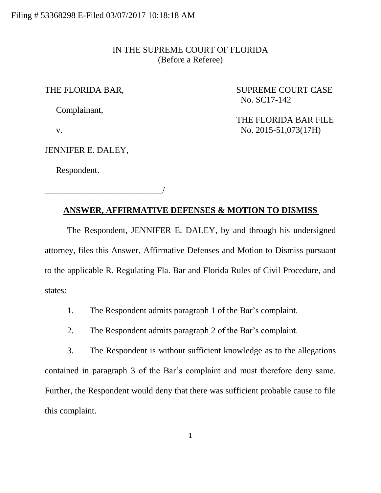#### IN THE SUPREME COURT OF FLORIDA (Before a Referee)

Complainant,

THE FLORIDA BAR, SUPREME COURT CASE No. SC17-142

JENNIFER E. DALEY,

\_\_\_\_\_\_\_\_\_\_\_\_\_\_\_\_\_\_\_\_\_\_\_\_\_\_\_/

Respondent.

 THE FLORIDA BAR FILE v. No. 2015-51,073(17H)

## **ANSWER, AFFIRMATIVE DEFENSES & MOTION TO DISMISS**

The Respondent, JENNIFER E. DALEY, by and through his undersigned attorney, files this Answer, Affirmative Defenses and Motion to Dismiss pursuant to the applicable R. Regulating Fla. Bar and Florida Rules of Civil Procedure, and states:

1. The Respondent admits paragraph 1 of the Bar's complaint.

2. The Respondent admits paragraph 2 of the Bar's complaint.

3. The Respondent is without sufficient knowledge as to the allegations contained in paragraph 3 of the Bar's complaint and must therefore deny same. Further, the Respondent would deny that there was sufficient probable cause to file this complaint.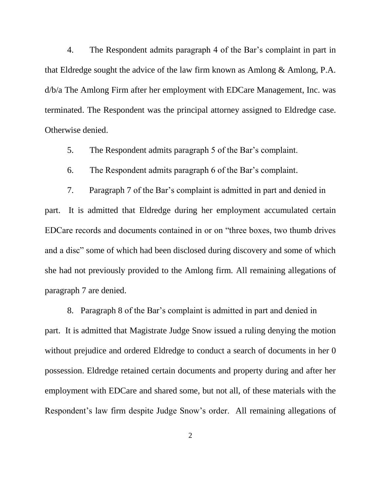4. The Respondent admits paragraph 4 of the Bar's complaint in part in that Eldredge sought the advice of the law firm known as Amlong & Amlong, P.A. d/b/a The Amlong Firm after her employment with EDCare Management, Inc. was terminated. The Respondent was the principal attorney assigned to Eldredge case. Otherwise denied.

5. The Respondent admits paragraph 5 of the Bar's complaint.

6. The Respondent admits paragraph 6 of the Bar's complaint.

7. Paragraph 7 of the Bar's complaint is admitted in part and denied in part. It is admitted that Eldredge during her employment accumulated certain EDCare records and documents contained in or on "three boxes, two thumb drives and a disc" some of which had been disclosed during discovery and some of which she had not previously provided to the Amlong firm. All remaining allegations of paragraph 7 are denied.

8. Paragraph 8 of the Bar's complaint is admitted in part and denied in part. It is admitted that Magistrate Judge Snow issued a ruling denying the motion without prejudice and ordered Eldredge to conduct a search of documents in her 0 possession. Eldredge retained certain documents and property during and after her employment with EDCare and shared some, but not all, of these materials with the Respondent's law firm despite Judge Snow's order. All remaining allegations of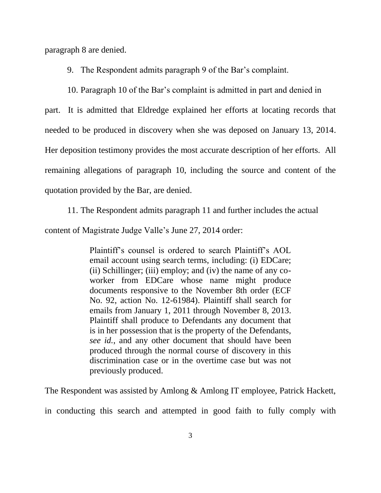paragraph 8 are denied.

9. The Respondent admits paragraph 9 of the Bar's complaint.

10. Paragraph 10 of the Bar's complaint is admitted in part and denied in

part. It is admitted that Eldredge explained her efforts at locating records that needed to be produced in discovery when she was deposed on January 13, 2014. Her deposition testimony provides the most accurate description of her efforts. All remaining allegations of paragraph 10, including the source and content of the quotation provided by the Bar, are denied.

11. The Respondent admits paragraph 11 and further includes the actual

content of Magistrate Judge Valle's June 27, 2014 order:

Plaintiff's counsel is ordered to search Plaintiff's AOL email account using search terms, including: (i) EDCare; (ii) Schillinger; (iii) employ; and (iv) the name of any coworker from EDCare whose name might produce documents responsive to the November 8th order (ECF No. 92, action No. 12-61984). Plaintiff shall search for emails from January 1, 2011 through November 8, 2013. Plaintiff shall produce to Defendants any document that is in her possession that is the property of the Defendants, *see id.*, and any other document that should have been produced through the normal course of discovery in this discrimination case or in the overtime case but was not previously produced.

The Respondent was assisted by Amlong & Amlong IT employee, Patrick Hackett,

in conducting this search and attempted in good faith to fully comply with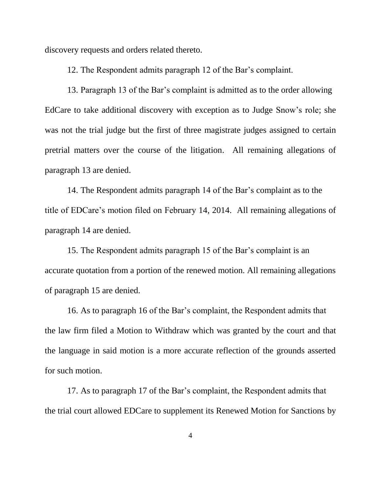discovery requests and orders related thereto.

12. The Respondent admits paragraph 12 of the Bar's complaint.

13. Paragraph 13 of the Bar's complaint is admitted as to the order allowing EdCare to take additional discovery with exception as to Judge Snow's role; she was not the trial judge but the first of three magistrate judges assigned to certain pretrial matters over the course of the litigation. All remaining allegations of paragraph 13 are denied.

14. The Respondent admits paragraph 14 of the Bar's complaint as to the title of EDCare's motion filed on February 14, 2014. All remaining allegations of paragraph 14 are denied.

15. The Respondent admits paragraph 15 of the Bar's complaint is an accurate quotation from a portion of the renewed motion. All remaining allegations of paragraph 15 are denied.

16. As to paragraph 16 of the Bar's complaint, the Respondent admits that the law firm filed a Motion to Withdraw which was granted by the court and that the language in said motion is a more accurate reflection of the grounds asserted for such motion.

17. As to paragraph 17 of the Bar's complaint, the Respondent admits that the trial court allowed EDCare to supplement its Renewed Motion for Sanctions by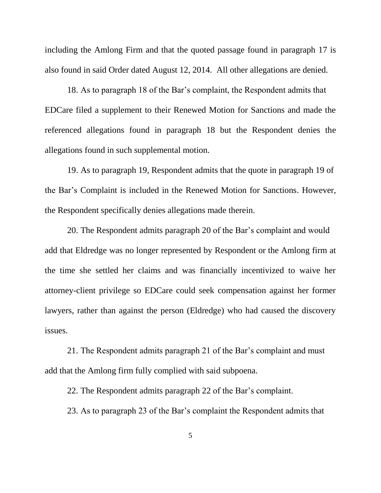including the Amlong Firm and that the quoted passage found in paragraph 17 is also found in said Order dated August 12, 2014. All other allegations are denied.

18. As to paragraph 18 of the Bar's complaint, the Respondent admits that EDCare filed a supplement to their Renewed Motion for Sanctions and made the referenced allegations found in paragraph 18 but the Respondent denies the allegations found in such supplemental motion.

19. As to paragraph 19, Respondent admits that the quote in paragraph 19 of the Bar's Complaint is included in the Renewed Motion for Sanctions. However, the Respondent specifically denies allegations made therein.

20. The Respondent admits paragraph 20 of the Bar's complaint and would add that Eldredge was no longer represented by Respondent or the Amlong firm at the time she settled her claims and was financially incentivized to waive her attorney-client privilege so EDCare could seek compensation against her former lawyers, rather than against the person (Eldredge) who had caused the discovery issues.

21. The Respondent admits paragraph 21 of the Bar's complaint and must add that the Amlong firm fully complied with said subpoena.

22. The Respondent admits paragraph 22 of the Bar's complaint.

23. As to paragraph 23 of the Bar's complaint the Respondent admits that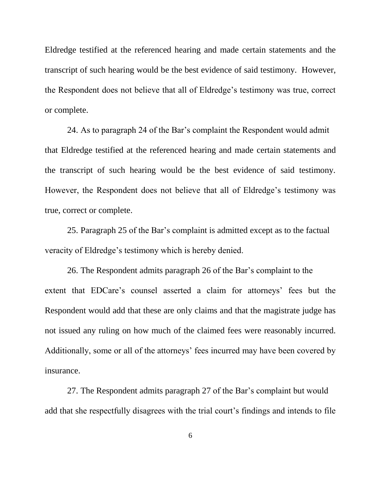Eldredge testified at the referenced hearing and made certain statements and the transcript of such hearing would be the best evidence of said testimony. However, the Respondent does not believe that all of Eldredge's testimony was true, correct or complete.

24. As to paragraph 24 of the Bar's complaint the Respondent would admit that Eldredge testified at the referenced hearing and made certain statements and the transcript of such hearing would be the best evidence of said testimony. However, the Respondent does not believe that all of Eldredge's testimony was true, correct or complete.

25. Paragraph 25 of the Bar's complaint is admitted except as to the factual veracity of Eldredge's testimony which is hereby denied.

26. The Respondent admits paragraph 26 of the Bar's complaint to the extent that EDCare's counsel asserted a claim for attorneys' fees but the Respondent would add that these are only claims and that the magistrate judge has not issued any ruling on how much of the claimed fees were reasonably incurred. Additionally, some or all of the attorneys' fees incurred may have been covered by insurance.

27. The Respondent admits paragraph 27 of the Bar's complaint but would add that she respectfully disagrees with the trial court's findings and intends to file

6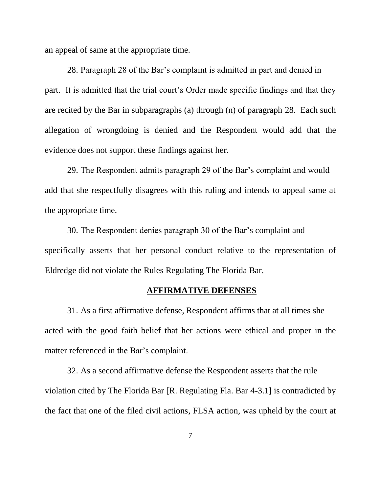an appeal of same at the appropriate time.

28. Paragraph 28 of the Bar's complaint is admitted in part and denied in part. It is admitted that the trial court's Order made specific findings and that they are recited by the Bar in subparagraphs (a) through (n) of paragraph 28. Each such allegation of wrongdoing is denied and the Respondent would add that the evidence does not support these findings against her.

29. The Respondent admits paragraph 29 of the Bar's complaint and would add that she respectfully disagrees with this ruling and intends to appeal same at the appropriate time.

30. The Respondent denies paragraph 30 of the Bar's complaint and specifically asserts that her personal conduct relative to the representation of Eldredge did not violate the Rules Regulating The Florida Bar.

#### **AFFIRMATIVE DEFENSES**

31. As a first affirmative defense, Respondent affirms that at all times she acted with the good faith belief that her actions were ethical and proper in the matter referenced in the Bar's complaint.

32. As a second affirmative defense the Respondent asserts that the rule violation cited by The Florida Bar [R. Regulating Fla. Bar 4-3.1] is contradicted by the fact that one of the filed civil actions, FLSA action, was upheld by the court at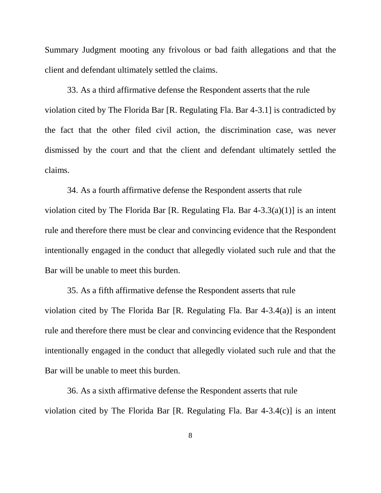Summary Judgment mooting any frivolous or bad faith allegations and that the client and defendant ultimately settled the claims.

33. As a third affirmative defense the Respondent asserts that the rule violation cited by The Florida Bar [R. Regulating Fla. Bar 4-3.1] is contradicted by the fact that the other filed civil action, the discrimination case, was never dismissed by the court and that the client and defendant ultimately settled the claims.

34. As a fourth affirmative defense the Respondent asserts that rule violation cited by The Florida Bar [R. Regulating Fla. Bar 4-3.3(a)(1)] is an intent rule and therefore there must be clear and convincing evidence that the Respondent intentionally engaged in the conduct that allegedly violated such rule and that the Bar will be unable to meet this burden.

35. As a fifth affirmative defense the Respondent asserts that rule violation cited by The Florida Bar [R. Regulating Fla. Bar 4-3.4(a)] is an intent rule and therefore there must be clear and convincing evidence that the Respondent intentionally engaged in the conduct that allegedly violated such rule and that the Bar will be unable to meet this burden.

36. As a sixth affirmative defense the Respondent asserts that rule violation cited by The Florida Bar [R. Regulating Fla. Bar 4-3.4(c)] is an intent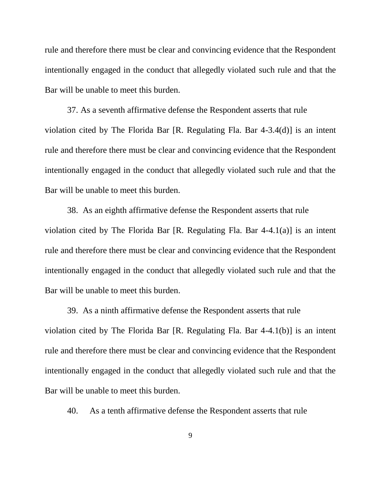rule and therefore there must be clear and convincing evidence that the Respondent intentionally engaged in the conduct that allegedly violated such rule and that the Bar will be unable to meet this burden.

37. As a seventh affirmative defense the Respondent asserts that rule violation cited by The Florida Bar [R. Regulating Fla. Bar 4-3.4(d)] is an intent rule and therefore there must be clear and convincing evidence that the Respondent intentionally engaged in the conduct that allegedly violated such rule and that the Bar will be unable to meet this burden.

38. As an eighth affirmative defense the Respondent asserts that rule violation cited by The Florida Bar [R. Regulating Fla. Bar 4-4.1(a)] is an intent rule and therefore there must be clear and convincing evidence that the Respondent intentionally engaged in the conduct that allegedly violated such rule and that the Bar will be unable to meet this burden.

39. As a ninth affirmative defense the Respondent asserts that rule violation cited by The Florida Bar [R. Regulating Fla. Bar 4-4.1(b)] is an intent rule and therefore there must be clear and convincing evidence that the Respondent intentionally engaged in the conduct that allegedly violated such rule and that the Bar will be unable to meet this burden.

40. As a tenth affirmative defense the Respondent asserts that rule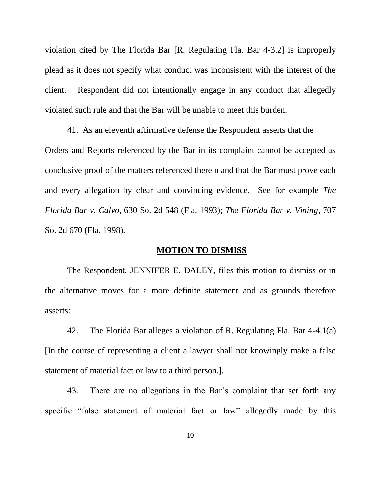violation cited by The Florida Bar [R. Regulating Fla. Bar 4-3.2] is improperly plead as it does not specify what conduct was inconsistent with the interest of the client. Respondent did not intentionally engage in any conduct that allegedly violated such rule and that the Bar will be unable to meet this burden.

41. As an eleventh affirmative defense the Respondent asserts that the Orders and Reports referenced by the Bar in its complaint cannot be accepted as conclusive proof of the matters referenced therein and that the Bar must prove each and every allegation by clear and convincing evidence. See for example *The Florida Bar v. Calvo*, 630 So. 2d 548 (Fla. 1993); *The Florida Bar v. Vining*, 707 So. 2d 670 (Fla. 1998).

### **MOTION TO DISMISS**

The Respondent, JENNIFER E. DALEY, files this motion to dismiss or in the alternative moves for a more definite statement and as grounds therefore asserts:

42. The Florida Bar alleges a violation of R. Regulating Fla. Bar 4-4.1(a) [In the course of representing a client a lawyer shall not knowingly make a false statement of material fact or law to a third person.].

43. There are no allegations in the Bar's complaint that set forth any specific "false statement of material fact or law" allegedly made by this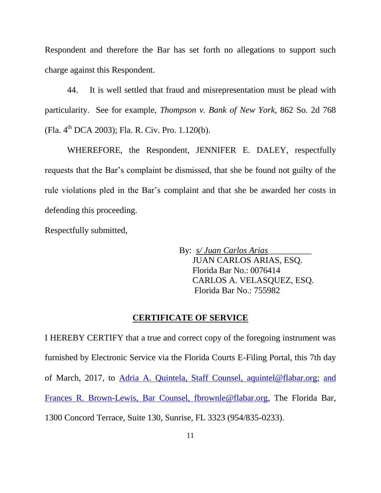Respondent and therefore the Bar has set forth no allegations to support such charge against this Respondent.

44. It is well settled that fraud and misrepresentation must be plead with particularity. See for example, *Thompson v. Bank of New York*, 862 So. 2d 768 (Fla. 4th DCA 2003); Fla. R. Civ. Pro. 1.120(b).

WHEREFORE, the Respondent, JENNIFER E. DALEY, respectfully requests that the Bar's complaint be dismissed, that she be found not guilty of the rule violations pled in the Bar's complaint and that she be awarded her costs in defending this proceeding.

Respectfully submitted,

By: *s/ Juan Carlos Arias\_\_\_\_\_\_\_\_\_\_* JUAN CARLOS ARIAS, ESQ. Florida Bar No.: 0076414 CARLOS A. VELASQUEZ, ESQ. Florida Bar No.: 755982

#### **CERTIFICATE OF SERVICE**

I HEREBY CERTIFY that a true and correct copy of the foregoing instrument was furnished by Electronic Service via the Florida Courts E-Filing Portal, this 7th day of March, 2017, to [Adria](mailto:Adria) A. Quintela, Staff Counsel, [aquintel@flabar.org;](mailto:aquintel@flabar.org) [and](mailto:tl@rolfelaw.com) Frances R. Brown-Lewis, Bar Counsel, [fbrownle@flabar.org,](mailto:fbrownle@flabar.org) The Florida Bar, 1300 Concord Terrace, Suite 130, Sunrise, FL 3323 (954/835-0233).